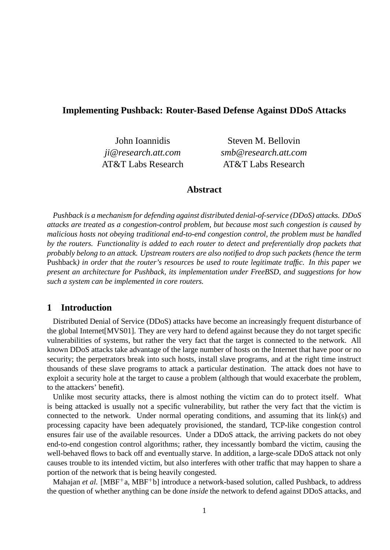# **Implementing Pushback: Router-Based Defense Against DDoS Attacks**

John Ioannidis Steven M. Bellovin *ji@research.att.com smb@research.att.com* AT&T Labs Research AT&T Labs Research

# **Abstract**

*Pushback is a mechanism for defending against distributed denial-of-service (DDoS) attacks. DDoS attacks are treated as a congestion-control problem, but because most such congestion is caused by malicious hosts not obeying traditional end-to-end congestion control, the problem must be handled by the routers. Functionality is added to each router to detect and preferentially drop packets that probably belong to an attack. Upstream routers are also notified to drop such packets (hence the term* Pushback*) in order that the router's resources be used to route legitimate traffic. In this paper we present an architecture for Pushback, its implementation under FreeBSD, and suggestions for how such a system can be implemented in core routers.*

# **1 Introduction**

Distributed Denial of Service (DDoS) attacks have become an increasingly frequent disturbance of the global Internet[MVS01]. They are very hard to defend against because they do not target specific vulnerabilities of systems, but rather the very fact that the target is connected to the network. All known DDoS attacks take advantage of the large number of hosts on the Internet that have poor or no security; the perpetrators break into such hosts, install slave programs, and at the right time instruct thousands of these slave programs to attack a particular destination. The attack does not have to exploit a security hole at the target to cause a problem (although that would exacerbate the problem, to the attackers' benefit).

Unlike most security attacks, there is almost nothing the victim can do to protect itself. What is being attacked is usually not a specific vulnerability, but rather the very fact that the victim is connected to the network. Under normal operating conditions, and assuming that its link(s) and processing capacity have been adequately provisioned, the standard, TCP-like congestion control ensures fair use of the available resources. Under a DDoS attack, the arriving packets do not obey end-to-end congestion control algorithms; rather, they incessantly bombard the victim, causing the well-behaved flows to back off and eventually starve. In addition, a large-scale DDoS attack not only causes trouble to its intended victim, but also interferes with other traffic that may happen to share a portion of the network that is being heavily congested.

Mahajan *et al.* [MBF<sup>+</sup>a, MBF<sup>+</sup>b] introduce a network-based solution, called Pushback, to address the question of whether anything can be done *inside* the network to defend against DDoS attacks, and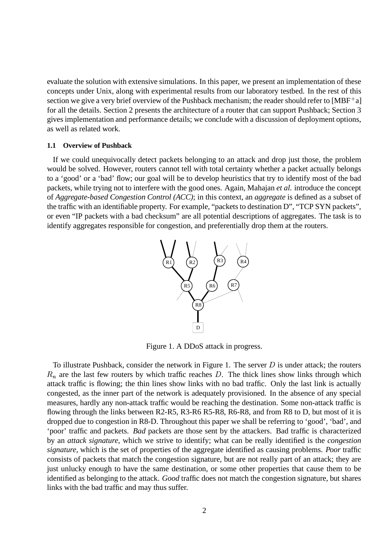evaluate the solution with extensive simulations. In this paper, we present an implementation of these concepts under Unix, along with experimental results from our laboratory testbed. In the rest of this section we give a very brief overview of the Pushback mechanism; the reader should refer to [MBF $^+$ a] for all the details. Section 2 presents the architecture of a router that can support Pushback; Section 3 gives implementation and performance details; we conclude with a discussion of deployment options, as well as related work.

### **1.1 Overview of Pushback**

If we could unequivocally detect packets belonging to an attack and drop just those, the problem would be solved. However, routers cannot tell with total certainty whether a packet actually belongs to a 'good' or a 'bad' flow; our goal will be to develop heuristics that try to identify most of the bad packets, while trying not to interfere with the good ones. Again, Mahajan *et al.* introduce the concept of *Aggregate-based Congestion Control (ACC)*; in this context, an *aggregate* is defined as a subset of the traffic with an identifiable property. For example, "packets to destination D", "TCP SYN packets", or even "IP packets with a bad checksum" are all potential descriptions of aggregates. The task is to identify aggregates responsible for congestion, and preferentially drop them at the routers.



Figure 1. A DDoS attack in progress.

To illustrate Pushback, consider the network in Figure 1. The server  $D$  is under attack; the routers  $R_n$  are the last few routers by which traffic reaches D. The thick lines show links through which attack traffic is flowing; the thin lines show links with no bad traffic. Only the last link is actually congested, as the inner part of the network is adequately provisioned. In the absence of any special measures, hardly any non-attack traffic would be reaching the destination. Some non-attack traffic is flowing through the links between R2-R5, R3-R6 R5-R8, R6-R8, and from R8 to D, but most of it is dropped due to congestion in R8-D. Throughout this paper we shall be referring to 'good', 'bad', and 'poor' traffic and packets. *Bad* packets are those sent by the attackers. Bad traffic is characterized by an *attack signature*, which we strive to identify; what can be really identified is the *congestion signature*, which is the set of properties of the aggregate identified as causing problems. *Poor* traffic consists of packets that match the congestion signature, but are not really part of an attack; they are just unlucky enough to have the same destination, or some other properties that cause them to be identified as belonging to the attack. *Good* traffic does not match the congestion signature, but shares links with the bad traffic and may thus suffer.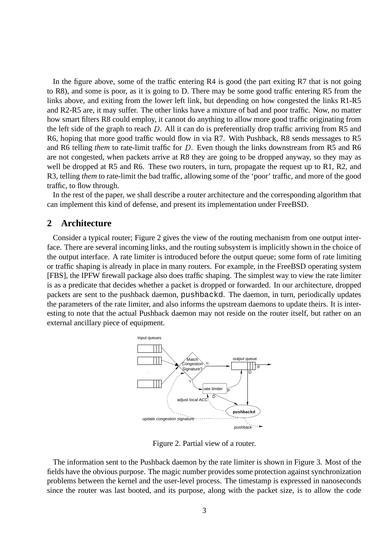In the figure above, some of the traffic entering R4 is good (the part exiting R7 that is not going to R8), and some is poor, as it is going to D. There may be some good traffic entering R5 from the links above, and exiting from the lower left link, but depending on how congested the links R1-R5 and R2-R5 are, it may suffer. The other links have a mixture of bad and poor traffic. Now, no matter how smart filters R8 could employ, it cannot do anything to allow more good traffic originating from the left side of the graph to reach  $D$ . All it can do is preferentially drop traffic arriving from R5 and R6, hoping that more good traffic would flow in via R7. With Pushback, R8 sends messages to R5 and R6 telling *them* to rate-limit traffic for D. Even though the links downstream from R5 and R6 are not congested, when packets arrive at R8 they are going to be dropped anyway, so they may as well be dropped at R5 and R6. These two routers, in turn, propagate the request up to R1, R2, and R3, telling *them* to rate-limit the bad traffic, allowing some of the 'poor' traffic, and more of the good traffic, to flow through.

In the rest of the paper, we shall describe a router architecture and the corresponding algorithm that can implement this kind of defense, and present its implementation under FreeBSD.

## **2 Architecture**

Consider a typical router; Figure 2 gives the view of the routing mechanism from one output interface. There are several incoming links, and the routing subsystem is implicitly shown in the choice of the output interface. A rate limiter is introduced before the output queue; some form of rate limiting or traffic shaping is already in place in many routers. For example, in the FreeBSD operating system [FBS], the IPFW firewall package also does traffic shaping. The simplest way to view the rate limiter is as a predicate that decides whether a packet is dropped or forwarded. In our architecture, dropped packets are sent to the pushback daemon, pushbackd. The daemon, in turn, periodically updates the parameters of the rate limiter, and also informs the upstream daemons to update theirs. It is interesting to note that the actual Pushback daemon may not reside on the router itself, but rather on an external ancillary piece of equipment.



Figure 2. Partial view of a router.

The information sent to the Pushback daemon by the rate limiter is shown in Figure 3. Most of the fields have the obvious purpose. The magic number provides some protection against synchronization problems between the kernel and the user-level process. The timestamp is expressed in nanoseconds since the router was last booted, and its purpose, along with the packet size, is to allow the code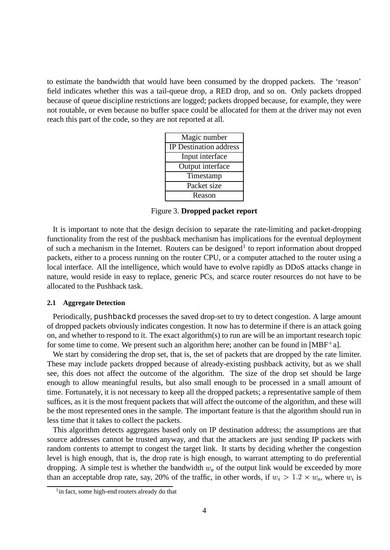to estimate the bandwidth that would have been consumed by the dropped packets. The 'reason' field indicates whether this was a tail-queue drop, a RED drop, and so on. Only packets dropped because of queue discipline restrictions are logged; packets dropped because, for example, they were not routable, or even because no buffer space could be allocated for them at the driver may not even reach this part of the code, so they are not reported at all.

| Magic number                  |
|-------------------------------|
| <b>IP</b> Destination address |
| Input interface               |
| Output interface              |
| Timestamp                     |
| Packet size                   |
| Reason                        |

Figure 3. **Dropped packet report**

It is important to note that the design decision to separate the rate-limiting and packet-dropping functionality from the rest of the pushback mechanism has implications for the eventual deployment of such a mechanism in the Internet. Routers can be designed<sup>1</sup> to report information about dropped packets, either to a process running on the router CPU, or a computer attached to the router using a local interface. All the intelligence, which would have to evolve rapidly as DDoS attacks change in nature, would reside in easy to replace, generic PCs, and scarce router resources do not have to be allocated to the Pushback task.

### **2.1 Aggregate Detection**

Periodically, pushbackd processes the saved drop-set to try to detect congestion. A large amount of dropped packets obviously indicates congestion. It now has to determine if there is an attack going on, and whether to respond to it. The exact algorithm(s) to run are will be an important research topic for some time to come. We present such an algorithm here; another can be found in  $[MBF^+a]$ .

We start by considering the drop set, that is, the set of packets that are dropped by the rate limiter. These may include packets dropped because of already-existing pushback activity, but as we shall see, this does not affect the outcome of the algorithm. The size of the drop set should be large enough to allow meaningful results, but also small enough to be processed in a small amount of time. Fortunately, it is not necessary to keep all the dropped packets; a representative sample of them suffices, as it is the most frequent packets that will affect the outcome of the algorithm, and these will be the most represented ones in the sample. The important feature is that the algorithm should run in less time that it takes to collect the packets.

This algorithm detects aggregates based only on IP destination address; the assumptions are that source addresses cannot be trusted anyway, and that the attackers are just sending IP packets with random contents to attempt to congest the target link. It starts by deciding whether the congestion level is high enough, that is, the drop rate is high enough, to warrant attempting to do preferential dropping. A simple test is whether the bandwidth  $w<sub>o</sub>$  of the output link would be exceeded by more than an acceptable drop rate, say, 20% of the traffic, in other words, if  $w_i > 1.2 \times w_o$ , where  $w_i$  is

<sup>&</sup>lt;sup>1</sup>in fact, some high-end routers already do that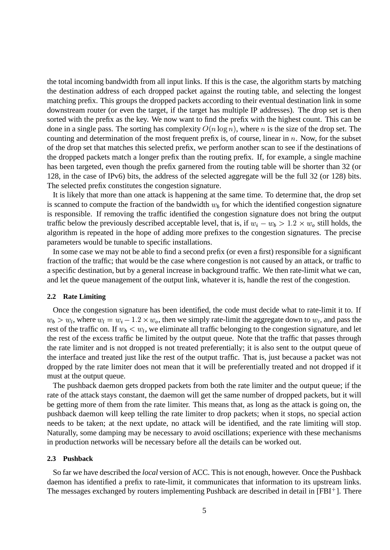the total incoming bandwidth from all input links. If this is the case, the algorithm starts by matching the destination address of each dropped packet against the routing table, and selecting the longest matching prefix. This groups the dropped packets according to their eventual destination link in some downstream router (or even the target, if the target has multiple IP addresses). The drop set is then sorted with the prefix as the key. We now want to find the prefix with the highest count. This can be done in a single pass. The sorting has complexity  $O(n \log n)$ , where n is the size of the drop set. The counting and determination of the most frequent prefix is, of course, linear in  $n$ . Now, for the subset of the drop set that matches this selected prefix, we perform another scan to see if the destinations of the dropped packets match a longer prefix than the routing prefix. If, for example, a single machine has been targeted, even though the prefix garnered from the routing table will be shorter than 32 (or 128, in the case of IPv6) bits, the address of the selected aggregate will be the full 32 (or 128) bits. The selected prefix constitutes the congestion signature.

It is likely that more than one attack is happening at the same time. To determine that, the drop set is scanned to compute the fraction of the bandwidth  $w<sub>b</sub>$  for which the identified congestion signature is responsible. If removing the traffic identified the congestion signature does not bring the output traffic below the previously described acceptable level, that is, if  $w_i - w_b > 1.2 \times w_o$  still holds, the algorithm is repeated in the hope of adding more prefixes to the congestion signatures. The precise parameters would be tunable to specific installations.

In some case we may not be able to find a second prefix (or even a first) responsible for a significant fraction of the traffic; that would be the case where congestion is not caused by an attack, or traffic to a specific destination, but by a general increase in background traffic. We then rate-limit what we can, and let the queue management of the output link, whatever it is, handle the rest of the congestion.

#### **2.2 Rate Limiting**

Once the congestion signature has been identified, the code must decide what to rate-limit it to. If  $w_b > w_l$ , where  $w_l = w_i - 1.2 \times w_o$ , then we simply rate-limit the aggregate down to  $w_l$ , and pass the rest of the traffic on. If  $w_b < w_l$ , we eliminate all traffic belonging to the congestion signature, and let the rest of the excess traffic be limited by the output queue. Note that the traffic that passes through the rate limiter and is not dropped is not treated preferentially; it is also sent to the output queue of the interface and treated just like the rest of the output traffic. That is, just because a packet was not dropped by the rate limiter does not mean that it will be preferentially treated and not dropped if it must at the output queue.

The pushback daemon gets dropped packets from both the rate limiter and the output queue; if the rate of the attack stays constant, the daemon will get the same number of dropped packets, but it will be getting more of them from the rate limiter. This means that, as long as the attack is going on, the pushback daemon will keep telling the rate limiter to drop packets; when it stops, no special action needs to be taken; at the next update, no attack will be identified, and the rate limiting will stop. Naturally, some damping may be necessary to avoid oscillations; experience with these mechanisms in production networks will be necessary before all the details can be worked out.

#### **2.3 Pushback**

So far we have described the *local* version of ACC. This is not enough, however. Once the Pushback daemon has identified a prefix to rate-limit, it communicates that information to its upstream links. The messages exchanged by routers implementing Pushback are described in detail in [FBI<sup>+</sup>]. There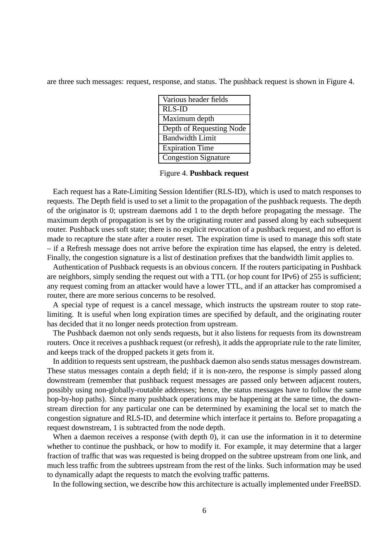are three such messages: request, response, and status. The pushback request is shown in Figure 4.

| Various header fields       |
|-----------------------------|
| <b>RLS-ID</b>               |
| Maximum depth               |
| Depth of Requesting Node    |
| <b>Bandwidth Limit</b>      |
| <b>Expiration Time</b>      |
| <b>Congestion Signature</b> |

Figure 4. **Pushback request**

Each request has a Rate-Limiting Session Identifier (RLS-ID), which is used to match responses to requests. The Depth field is used to set a limit to the propagation of the pushback requests. The depth of the originator is 0; upstream daemons add 1 to the depth before propagating the message. The maximum depth of propagation is set by the originating router and passed along by each subsequent router. Pushback uses soft state; there is no explicit revocation of a pushback request, and no effort is made to recapture the state after a router reset. The expiration time is used to manage this soft state – if a Refresh message does not arrive before the expiration time has elapsed, the entry is deleted. Finally, the congestion signature is a list of destination prefixes that the bandwidth limit applies to.

Authentication of Pushback requests is an obvious concern. If the routers participating in Pushback are neighbors, simply sending the request out with a TTL (or hop count for IPv6) of 255 is sufficient; any request coming from an attacker would have a lower TTL, and if an attacker has compromised a router, there are more serious concerns to be resolved.

A special type of request is a cancel message, which instructs the upstream router to stop ratelimiting. It is useful when long expiration times are specified by default, and the originating router has decided that it no longer needs protection from upstream.

The Pushback daemon not only sends requests, but it also listens for requests from its downstream routers. Once it receives a pushback request (or refresh), it adds the appropriate rule to the rate limiter, and keeps track of the dropped packets it gets from it.

In addition to requests sent upstream, the pushback daemon also sends status messages downstream. These status messages contain a depth field; if it is non-zero, the response is simply passed along downstream (remember that pushback request messages are passed only between adjacent routers, possibly using non-globally-routable addresses; hence, the status messages have to follow the same hop-by-hop paths). Since many pushback operations may be happening at the same time, the downstream direction for any particular one can be determined by examining the local set to match the congestion signature and RLS-ID, and determine which interface it pertains to. Before propagating a request downstream, 1 is subtracted from the node depth.

When a daemon receives a response (with depth 0), it can use the information in it to determine whether to continue the pushback, or how to modify it. For example, it may determine that a larger fraction of traffic that was was requested is being dropped on the subtree upstream from one link, and much less traffic from the subtrees upstream from the rest of the links. Such information may be used to dynamically adapt the requests to match the evolving traffic patterns.

In the following section, we describe how this architecture is actually implemented under FreeBSD.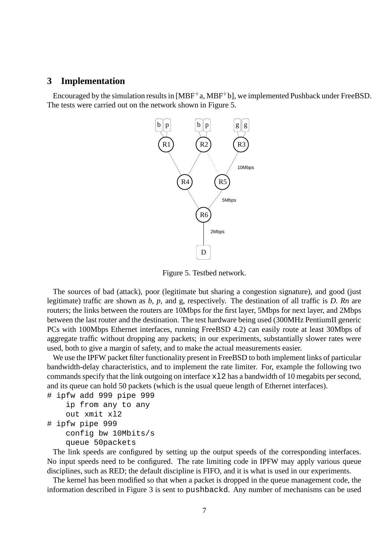### **3 Implementation**

Encouraged by the simulation results in [MBF<sup>+</sup>a, MBF<sup>+</sup>b], we implemented Pushback under FreeBSD. The tests were carried out on the network shown in Figure 5.



Figure 5. Testbed network.

The sources of bad (attack), poor (legitimate but sharing a congestion signature), and good (just legitimate) traffic are shown as *b, p,* and g, respectively. The destination of all traffic is *D*. *Rn* are routers; the links between the routers are 10Mbps for the first layer, 5Mbps for next layer, and 2Mbps between the last router and the destination. The test hardware being used (300MHz PentiumII generic PCs with 100Mbps Ethernet interfaces, running FreeBSD 4.2) can easily route at least 30Mbps of aggregate traffic without dropping any packets; in our experiments, substantially slower rates were used, both to give a margin of safety, and to make the actual measurements easier.

We use the IPFW packet filter functionality present in FreeBSD to both implement links of particular bandwidth-delay characteristics, and to implement the rate limiter. For, example the following two commands specify that the link outgoing on interface  $x12$  has a bandwidth of 10 megabits per second, and its queue can hold 50 packets (which is the usual queue length of Ethernet interfaces).

```
# ipfw add 999 pipe 999
    ip from any to any
    out xmit xl2
# ipfw pipe 999
    config bw 10Mbits/s
    queue 50packets
```
The link speeds are configured by setting up the output speeds of the corresponding interfaces. No input speeds need to be configured. The rate limiting code in IPFW may apply various queue disciplines, such as RED; the default discipline is FIFO, and it is what is used in our experiments.

The kernel has been modified so that when a packet is dropped in the queue management code, the information described in Figure 3 is sent to pushbackd. Any number of mechanisms can be used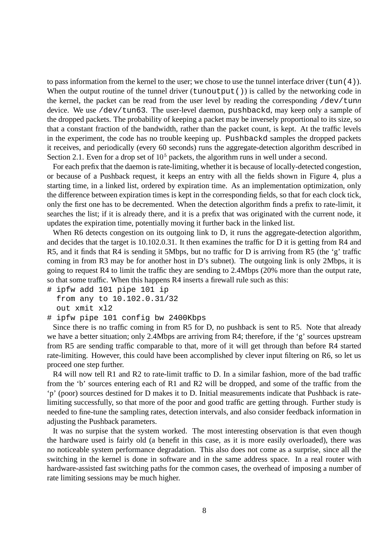to pass information from the kernel to the user; we chose to use the tunnel interface driver  $(\text{tun}(4))$ . When the output routine of the tunnel driver  $(tunoutput()$  is called by the networking code in the kernel, the packet can be read from the user level by reading the corresponding /dev/tun*n* device. We use /dev/tun63. The user-level daemon, pushbackd, may keep only a sample of the dropped packets. The probability of keeping a packet may be inversely proportional to its size, so that a constant fraction of the bandwidth, rather than the packet count, is kept. At the traffic levels in the experiment, the code has no trouble keeping up. Pushbackd samples the dropped packets it receives, and periodically (every 60 seconds) runs the aggregate-detection algorithm described in Section 2.1. Even for a drop set of  $10<sup>5</sup>$  packets, the algorithm runs in well under a second.

For each prefix that the daemon is rate-limiting, whether it is because of locally-detected congestion, or because of a Pushback request, it keeps an entry with all the fields shown in Figure 4, plus a starting time, in a linked list, ordered by expiration time. As an implementation optimization, only the difference between expiration times is kept in the corresponding fields, so that for each clock tick, only the first one has to be decremented. When the detection algorithm finds a prefix to rate-limit, it searches the list; if it is already there, and it is a prefix that was originated with the current node, it updates the expiration time, potentially moving it further back in the linked list.

When R6 detects congestion on its outgoing link to D, it runs the aggregate-detection algorithm, and decides that the target is 10.102.0.31. It then examines the traffic for D it is getting from R4 and R5, and it finds that R4 is sending it 5Mbps, but no traffic for D is arriving from R5 (the 'g' traffic coming in from R3 may be for another host in D's subnet). The outgoing link is only 2Mbps, it is going to request R4 to limit the traffic they are sending to 2.4Mbps (20% more than the output rate, so that some traffic. When this happens R4 inserts a firewall rule such as this:

# ipfw add 101 pipe 101 ip from any to 10.102.0.31/32 out xmit xl2

# ipfw pipe 101 config bw 2400Kbps

Since there is no traffic coming in from R5 for D, no pushback is sent to R5. Note that already we have a better situation; only 2.4Mbps are arriving from R4; therefore, if the 'g' sources upstream from R5 are sending traffic comparable to that, more of it will get through than before R4 started rate-limiting. However, this could have been accomplished by clever input filtering on R6, so let us proceed one step further.

R4 will now tell R1 and R2 to rate-limit traffic to D. In a similar fashion, more of the bad traffic from the 'b' sources entering each of R1 and R2 will be dropped, and some of the traffic from the 'p' (poor) sources destined for D makes it to D. Initial measurements indicate that Pushback is ratelimiting successfully, so that more of the poor and good traffic are getting through. Further study is needed to fine-tune the sampling rates, detection intervals, and also consider feedback information in adjusting the Pushback parameters.

It was no surpise that the system worked. The most interesting observation is that even though the hardware used is fairly old (a benefit in this case, as it is more easily overloaded), there was no noticeable system performance degradation. This also does not come as a surprise, since all the switching in the kernel is done in software and in the same address space. In a real router with hardware-assisted fast switching paths for the common cases, the overhead of imposing a number of rate limiting sessions may be much higher.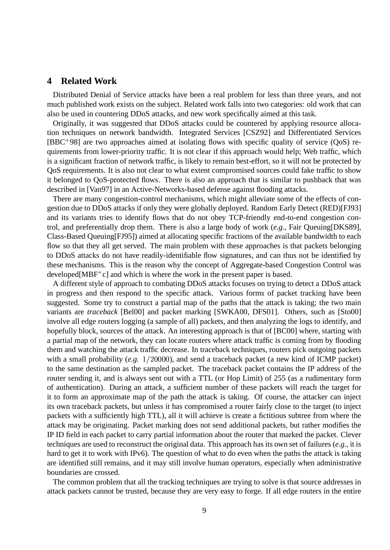### **4 Related Work**

Distributed Denial of Service attacks have been a real problem for less than three years, and not much published work exists on the subject. Related work falls into two categories: old work that can also be used in countering DDoS attacks, and new work specifically aimed at this task.

Originally, it was suggested that DDoS attacks could be countered by applying resource allocation techniques on network bandwidth. Integrated Services [CSZ92] and Differentiated Services [BBC 98] are two approaches aimed at isolating flows with specific quality of service (QoS) requirements from lower-priority traffic. It is not clear if this approach would help; Web traffic, which is a significant fraction of network traffic, is likely to remain best-effort, so it will not be protected by QoS requirements. It is also not clear to what extent compromised sources could fake traffic to show it belonged to QoS-protected flows. There is also an approach that is similar to pushback that was described in [Van97] in an Active-Networks-based defense against flooding attacks.

There are many congestion-control mechanisms, which might alleviate some of the effects of congestion due to DDoS attacks if only they were globally deployed. Random Early Detect (RED)[FJ93] and its variants tries to identify flows that do not obey TCP-friendly end-to-end congestion control, and preferentially drop them. There is also a large body of work (*e.g.*, Fair Queuing[DKS89], Class-Based Queuing[FJ95]) aimed at allocating specific fractions of the available bandwidth to each flow so that they all get served. The main problem with these approaches is that packets belonging to DDoS attacks do not have readily-identifiable flow signatures, and can thus not be identified by these mechanisms. This is the reason why the concept of Aggregate-based Congestion Control was developed[ $MBF^+c$ ] and which is where the work in the present paper is based.

A different style of approach to combating DDoS attacks focuses on trying to detect a DDoS attack in progress and then respond to the specific attack. Various forms of packet tracking have been suggested. Some try to construct a partial map of the paths that the attack is taking; the two main variants are *traceback* [Bel00] and packet marking [SWKA00, DFS01]. Others, such as [Sto00] involve all edge routers logging (a sample of all) packets, and then analyzing the logs to identify, and hopefully block, sources of the attack. An interesting approach is that of [BC00] where, starting with a partial map of the network, they can locate routers where attack traffic is coming from by flooding them and watching the attack traffic decrease. In traceback techniques, routers pick outgoing packets with a small probability  $(e.g. 1/20000)$ , and send a traceback packet (a new kind of ICMP packet) to the same destination as the sampled packet. The traceback packet contains the IP address of the router sending it, and is always sent out with a TTL (or Hop Limit) of 255 (as a rudimentary form of authentication). During an attack, a sufficient number of these packets will reach the target for it to form an approximate map of the path the attack is taking. Of course, the attacker can inject its own traceback packets, but unless it has compromised a router fairly close to the target (to inject packets with a sufficiently high TTL), all it will achieve is create a fictitious subtree from where the attack may be originating. Packet marking does not send additional packets, but rather modifies the IP ID field in each packet to carry partial information about the router that marked the packet. Clever techniques are used to reconstruct the original data. This approach has its own set of failures (*e.g.*, it is hard to get it to work with IPv6). The question of what to do even when the paths the attack is taking are identified still remains, and it may still involve human operators, especially when administrative boundaries are crossed.

The common problem that all the tracking techniques are trying to solve is that source addresses in attack packets cannot be trusted, because they are very easy to forge. If all edge routers in the entire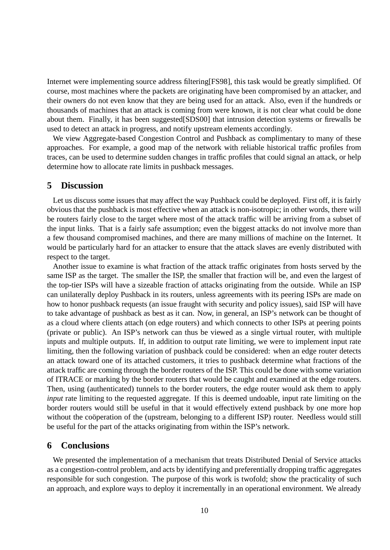Internet were implementing source address filtering[FS98], this task would be greatly simplified. Of course, most machines where the packets are originating have been compromised by an attacker, and their owners do not even know that they are being used for an attack. Also, even if the hundreds or thousands of machines that an attack is coming from were known, it is not clear what could be done about them. Finally, it has been suggested[SDS00] that intrusion detection systems or firewalls be used to detect an attack in progress, and notify upstream elements accordingly.

We view Aggregate-based Congestion Control and Pushback as complimentary to many of these approaches. For example, a good map of the network with reliable historical traffic profiles from traces, can be used to determine sudden changes in traffic profiles that could signal an attack, or help determine how to allocate rate limits in pushback messages.

## **5 Discussion**

Let us discuss some issues that may affect the way Pushback could be deployed. First off, it is fairly obvious that the pushback is most effective when an attack is non-isotropic; in other words, there will be routers fairly close to the target where most of the attack traffic will be arriving from a subset of the input links. That is a fairly safe assumption; even the biggest attacks do not involve more than a few thousand compromised machines, and there are many millions of machine on the Internet. It would be particularly hard for an attacker to ensure that the attack slaves are evenly distributed with respect to the target.

Another issue to examine is what fraction of the attack traffic originates from hosts served by the same ISP as the target. The smaller the ISP, the smaller that fraction will be, and even the largest of the top-tier ISPs will have a sizeable fraction of attacks originating from the outside. While an ISP can unilaterally deploy Pushback in its routers, unless agreements with its peering ISPs are made on how to honor pushback requests (an issue fraught with security and policy issues), said ISP will have to take advantage of pushback as best as it can. Now, in general, an ISP's network can be thought of as a cloud where clients attach (on edge routers) and which connects to other ISPs at peering points (private or public). An ISP's network can thus be viewed as a single virtual router, with multiple inputs and multiple outputs. If, in addition to output rate limiting, we were to implement input rate limiting, then the following variation of pushback could be considered: when an edge router detects an attack toward one of its attached customers, it tries to pushback determine what fractions of the attack traffic are coming through the border routers of the ISP. This could be done with some variation of ITRACE or marking by the border routers that would be caught and examined at the edge routers. Then, using (authenticated) tunnels to the border routers, the edge router would ask them to apply *input* rate limiting to the requested aggregate. If this is deemed undoable, input rate limiting on the border routers would still be useful in that it would effectively extend pushback by one more hop without the coöperation of the (upstream, belonging to a different ISP) router. Needless would still be useful for the part of the attacks originating from within the ISP's network.

### **6 Conclusions**

We presented the implementation of a mechanism that treats Distributed Denial of Service attacks as a congestion-control problem, and acts by identifying and preferentially dropping traffic aggregates responsible for such congestion. The purpose of this work is twofold; show the practicality of such an approach, and explore ways to deploy it incrementally in an operational environment. We already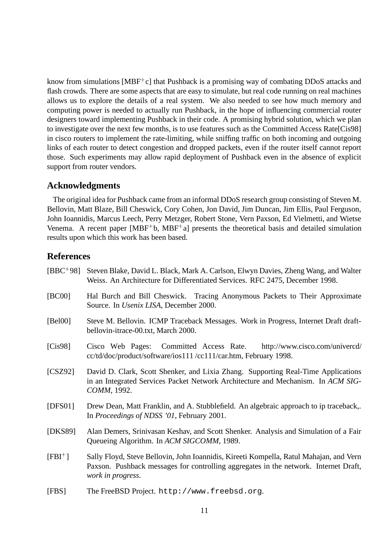know from simulations [MBF<sup>+</sup>c] that Pushback is a promising way of combating DDoS attacks and flash crowds. There are some aspects that are easy to simulate, but real code running on real machines allows us to explore the details of a real system. We also needed to see how much memory and computing power is needed to actually run Pushback, in the hope of influencing commercial router designers toward implementing Pushback in their code. A promising hybrid solution, which we plan to investigate over the next few months, is to use features such as the Committed Access Rate[Cis98] in cisco routers to implement the rate-limiting, while sniffing traffic on both incoming and outgoing links of each router to detect congestion and dropped packets, even if the router itself cannot report those. Such experiments may allow rapid deployment of Pushback even in the absence of explicit support from router vendors.

# **Acknowledgments**

The original idea for Pushback came from an informal DDoS research group consisting of Steven M. Bellovin, Matt Blaze, Bill Cheswick, Cory Cohen, Jon David, Jim Duncan, Jim Ellis, Paul Ferguson, John Ioannidis, Marcus Leech, Perry Metzger, Robert Stone, Vern Paxson, Ed Vielmetti, and Wietse Venema. A recent paper [MBF<sup>+</sup>b, MBF<sup>+</sup>a] presents the theoretical basis and detailed simulation results upon which this work has been based.

# **References**

| $[BBC + 98]$ | Steven Blake, David L. Black, Mark A. Carlson, Elwyn Davies, Zheng Wang, and Walter<br>Weiss. An Architecture for Differentiated Services. RFC 2475, December 1998.                                 |
|--------------|-----------------------------------------------------------------------------------------------------------------------------------------------------------------------------------------------------|
| [BC00]       | Hal Burch and Bill Cheswick. Tracing Anonymous Packets to Their Approximate<br>Source. In <i>Usenix LISA</i> , December 2000.                                                                       |
| [Bel00]      | Steve M. Bellovin. ICMP Traceback Messages. Work in Progress, Internet Draft draft-<br>bellovin-itrace-00.txt, March 2000.                                                                          |
| [Cis98]      | Cisco Web Pages: Committed Access Rate.<br>http://www.cisco.com/univercd/<br>cc/td/doc/product/software/ios111/cc111/car.htm, February 1998.                                                        |
| [CSZ92]      | David D. Clark, Scott Shenker, and Lixia Zhang. Supporting Real-Time Applications<br>in an Integrated Services Packet Network Architecture and Mechanism. In ACM SIG-<br>СОММ, 1992.                |
| [DFS01]      | Drew Dean, Matt Franklin, and A. Stubblefield. An algebraic approach to ip traceback,.<br>In Proceedings of NDSS '01, February 2001.                                                                |
| [DKS89]      | Alan Demers, Srinivasan Keshav, and Scott Shenker. Analysis and Simulation of a Fair<br>Queueing Algorithm. In ACM SIGCOMM, 1989.                                                                   |
| $[FBI^+]$    | Sally Floyd, Steve Bellovin, John Ioannidis, Kireeti Kompella, Ratul Mahajan, and Vern<br>Paxson. Pushback messages for controlling aggregates in the network. Internet Draft,<br>work in progress. |
| [FBS]        | The FreeBSD Project. http://www.freebsd.org.                                                                                                                                                        |